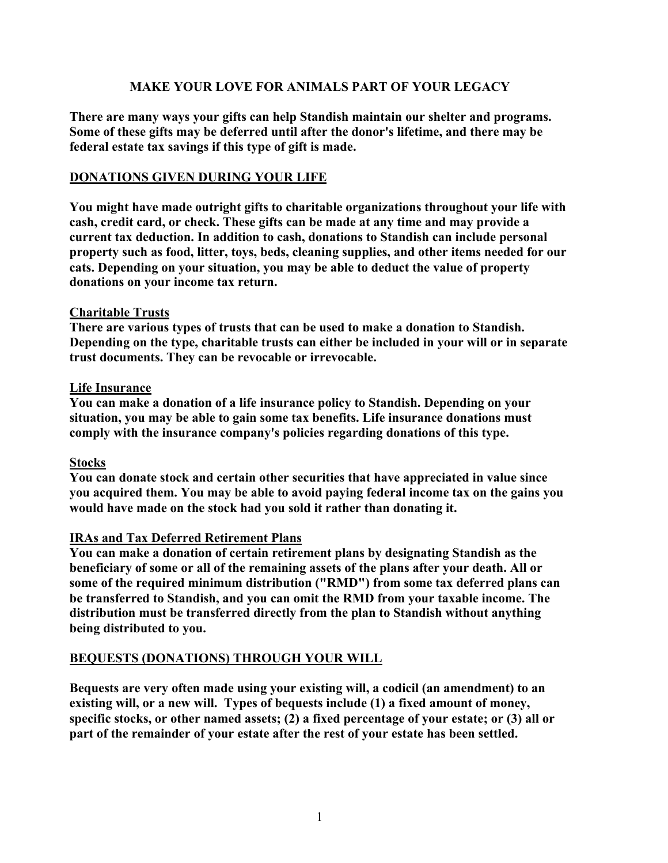## **MAKE YOUR LOVE FOR ANIMALS PART OF YOUR LEGACY**

**There are many ways your gifts can help Standish maintain our shelter and programs. Some of these gifts may be deferred until after the donor's lifetime, and there may be federal estate tax savings if this type of gift is made.** 

### **DONATIONS GIVEN DURING YOUR LIFE**

**You might have made outright gifts to charitable organizations throughout your life with cash, credit card, or check. These gifts can be made at any time and may provide a current tax deduction. In addition to cash, donations to Standish can include personal property such as food, litter, toys, beds, cleaning supplies, and other items needed for our cats. Depending on your situation, you may be able to deduct the value of property donations on your income tax return.**

### **Charitable Trusts**

**There are various types of trusts that can be used to make a donation to Standish. Depending on the type, charitable trusts can either be included in your will or in separate trust documents. They can be revocable or irrevocable.** 

## **Life Insurance**

**You can make a donation of a life insurance policy to Standish. Depending on your situation, you may be able to gain some tax benefits. Life insurance donations must comply with the insurance company's policies regarding donations of this type.**

# **Stocks**

**You can donate stock and certain other securities that have appreciated in value since you acquired them. You may be able to avoid paying federal income tax on the gains you would have made on the stock had you sold it rather than donating it.**

# **IRAs and Tax Deferred Retirement Plans**

**You can make a donation of certain retirement plans by designating Standish as the beneficiary of some or all of the remaining assets of the plans after your death. All or some of the required minimum distribution ("RMD") from some tax deferred plans can be transferred to Standish, and you can omit the RMD from your taxable income. The distribution must be transferred directly from the plan to Standish without anything being distributed to you.**

# **BEQUESTS (DONATIONS) THROUGH YOUR WILL**

**Bequests are very often made using your existing will, a codicil (an amendment) to an existing will, or a new will. Types of bequests include (1) a fixed amount of money, specific stocks, or other named assets; (2) a fixed percentage of your estate; or (3) all or part of the remainder of your estate after the rest of your estate has been settled.**